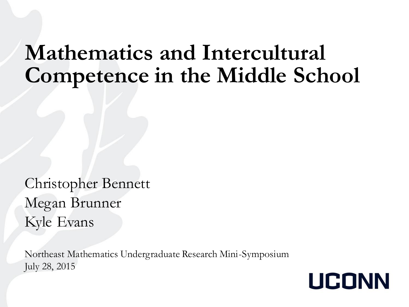#### **Mathematics and Intercultural Competence in the Middle School**

Christopher Bennett Megan Brunner Kyle Evans

Northeast Mathematics Undergraduate Research Mini-Symposium July 28, 2015

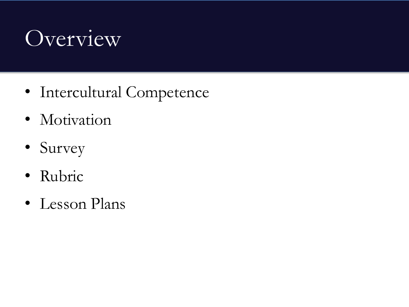#### Overview

- Intercultural Competence
- Motivation
- Survey
- Rubric
- Lesson Plans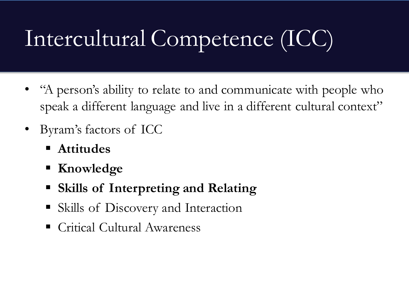# Intercultural Competence (ICC)

- "A person's ability to relate to and communicate with people who speak a different language and live in a different cultural context"
- Byram's factors of ICC
	- **Attitudes**
	- **Knowledge**
	- **Skills of Interpreting and Relating**
	- Skills of Discovery and Interaction
	- Critical Cultural Awareness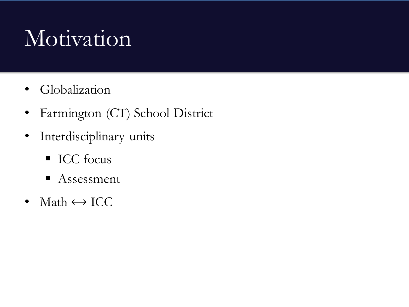# Motivation

- Globalization
- Farmington (CT) School District
- Interdisciplinary units
	- **ICC** focus
	- Assessment
- Math  $\leftrightarrow$  ICC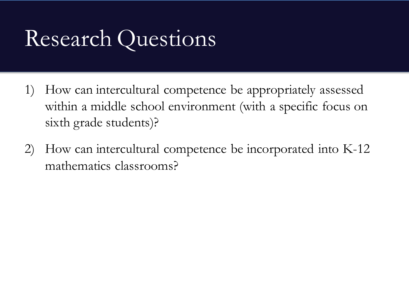## Research Questions

- 1) How can intercultural competence be appropriately assessed within a middle school environment (with a specific focus on sixth grade students)?
- 2) How can intercultural competence be incorporated into K-12 mathematics classrooms?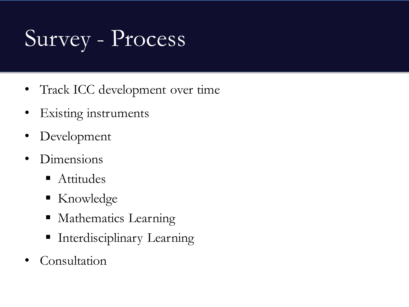# Survey - Process

- Track ICC development over time
- Existing instruments
- Development
- Dimensions
	- Attitudes
	- Knowledge
	- **Mathematics Learning**
	- **Interdisciplinary Learning**
- **Consultation**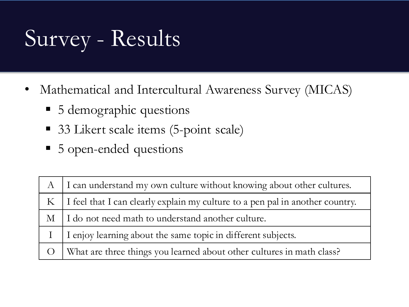# Survey - Results

- Mathematical and Intercultural Awareness Survey (MICAS)
	- 5 demographic questions
	- 33 Likert scale items (5-point scale)
	- 5 open-ended questions

| $\mathbf{A}$ | I can understand my own culture without knowing about other cultures.         |
|--------------|-------------------------------------------------------------------------------|
| $K_{-}$      | I feel that I can clearly explain my culture to a pen pal in another country. |
|              | M   I do not need math to understand another culture.                         |
|              | I enjoy learning about the same topic in different subjects.                  |
| $\bigcirc$   | What are three things you learned about other cultures in math class?         |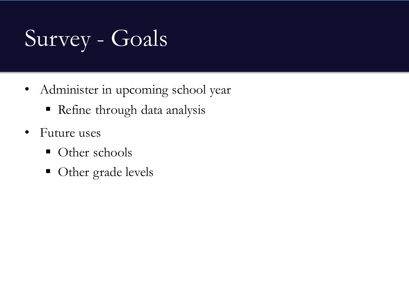# Survey - Goals

- Administer in upcoming school year
	- Refine through data analysis
- Future uses
	- Other schools
	- Other grade levels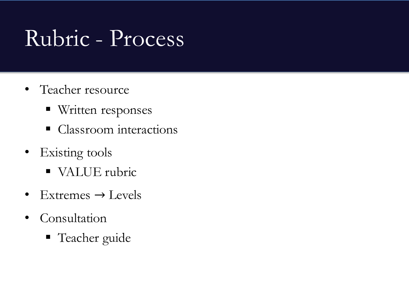## Rubric - Process

- Teacher resource
	- **Written responses**
	- Classroom interactions
- Existing tools
	- VALUE rubric
- Extremes  $\rightarrow$  Levels
- Consultation
	- Teacher guide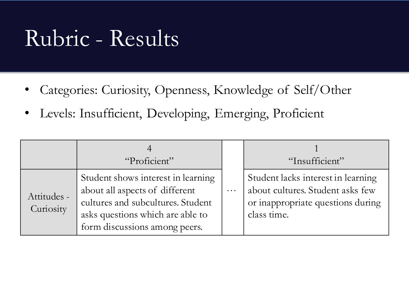#### Rubric - Results

- Categories: Curiosity, Openness, Knowledge of Self/Other
- Levels: Insufficient, Developing, Emerging, Proficient

|                          | "Proficient"                                                                                                                                                                   |          | "Insufficient"                                                                                                             |
|--------------------------|--------------------------------------------------------------------------------------------------------------------------------------------------------------------------------|----------|----------------------------------------------------------------------------------------------------------------------------|
| Attitudes -<br>Curiosity | Student shows interest in learning<br>about all aspects of different<br>cultures and subcultures. Student<br>asks questions which are able to<br>form discussions among peers. | $\cdots$ | Student lacks interest in learning<br>about cultures. Student asks few<br>or inappropriate questions during<br>class time. |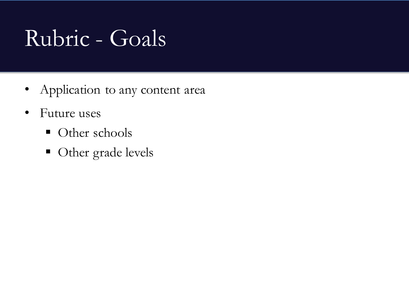# Rubric - Goals

- Application to any content area
- Future uses
	- Other schools
	- Other grade levels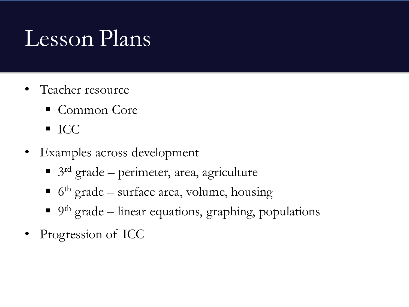## Lesson Plans

- Teacher resource
	- Common Core
	- $\blacksquare$  ICC
- Examples across development
	- 3<sup>rd</sup> grade perimeter, area, agriculture
	- $\bullet$  6<sup>th</sup> grade surface area, volume, housing
	- 9<sup>th</sup> grade linear equations, graphing, populations
- Progression of ICC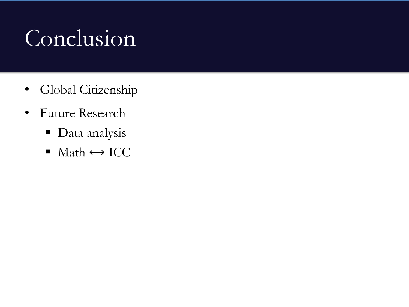# Conclusion

- Global Citizenship
- Future Research
	- **Data** analysis
	- $\blacksquare$  Math  $\leftrightarrow$  ICC